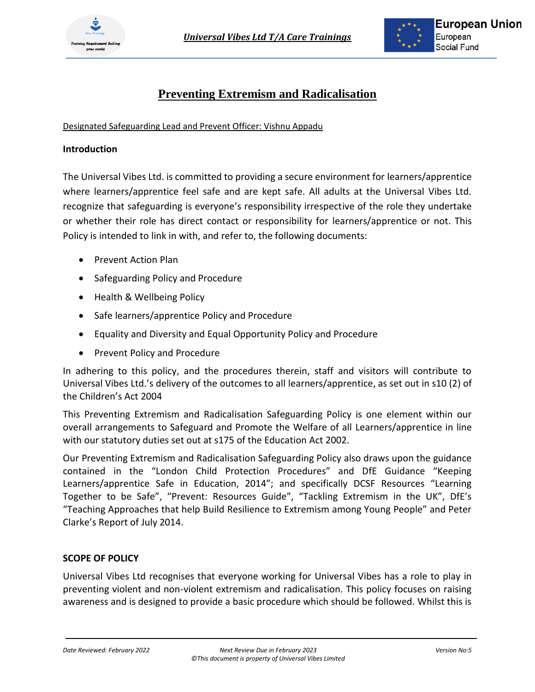

# **Preventing Extremism and Radicalisation**

Designated Safeguarding Lead and Prevent Officer: Vishnu Appadu

#### **Introduction**

The Universal Vibes Ltd. is committed to providing a secure environment for learners/apprentice where learners/apprentice feel safe and are kept safe. All adults at the Universal Vibes Ltd. recognize that safeguarding is everyone's responsibility irrespective of the role they undertake or whether their role has direct contact or responsibility for learners/apprentice or not. This Policy is intended to link in with, and refer to, the following documents:

- Prevent Action Plan
- Safeguarding Policy and Procedure
- Health & Wellbeing Policy
- Safe learners/apprentice Policy and Procedure
- Equality and Diversity and Equal Opportunity Policy and Procedure
- Prevent Policy and Procedure

In adhering to this policy, and the procedures therein, staff and visitors will contribute to Universal Vibes Ltd.'s delivery of the outcomes to all learners/apprentice, as set out in s10 (2) of the Children's Act 2004

This Preventing Extremism and Radicalisation Safeguarding Policy is one element within our overall arrangements to Safeguard and Promote the Welfare of all Learners/apprentice in line with our statutory duties set out at s175 of the Education Act 2002.

Our Preventing Extremism and Radicalisation Safeguarding Policy also draws upon the guidance contained in the "London Child Protection Procedures" and DfE Guidance "Keeping Learners/apprentice Safe in Education, 2014"; and specifically DCSF Resources "Learning Together to be Safe", "Prevent: Resources Guide", "Tackling Extremism in the UK", DfE's "Teaching Approaches that help Build Resilience to Extremism among Young People" and Peter Clarke's Report of July 2014.

## **SCOPE OF POLICY**

Universal Vibes Ltd recognises that everyone working for Universal Vibes has a role to play in preventing violent and non-violent extremism and radicalisation. This policy focuses on raising awareness and is designed to provide a basic procedure which should be followed. Whilst this is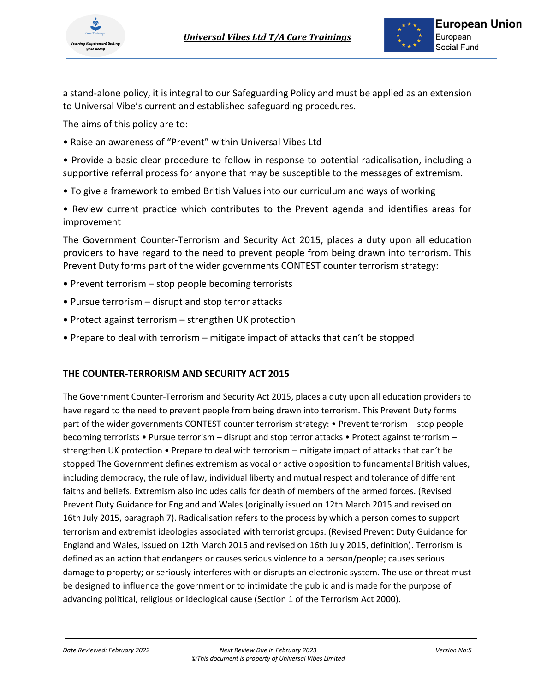

a stand-alone policy, it is integral to our Safeguarding Policy and must be applied as an extension to Universal Vibe's current and established safeguarding procedures.

The aims of this policy are to:

• Raise an awareness of "Prevent" within Universal Vibes Ltd

• Provide a basic clear procedure to follow in response to potential radicalisation, including a supportive referral process for anyone that may be susceptible to the messages of extremism.

- To give a framework to embed British Values into our curriculum and ways of working
- Review current practice which contributes to the Prevent agenda and identifies areas for improvement

The Government Counter-Terrorism and Security Act 2015, places a duty upon all education providers to have regard to the need to prevent people from being drawn into terrorism. This Prevent Duty forms part of the wider governments CONTEST counter terrorism strategy:

- Prevent terrorism stop people becoming terrorists
- Pursue terrorism disrupt and stop terror attacks
- Protect against terrorism strengthen UK protection
- Prepare to deal with terrorism mitigate impact of attacks that can't be stopped

## **THE COUNTER-TERRORISM AND SECURITY ACT 2015**

The Government Counter-Terrorism and Security Act 2015, places a duty upon all education providers to have regard to the need to prevent people from being drawn into terrorism. This Prevent Duty forms part of the wider governments CONTEST counter terrorism strategy: • Prevent terrorism – stop people becoming terrorists • Pursue terrorism – disrupt and stop terror attacks • Protect against terrorism – strengthen UK protection • Prepare to deal with terrorism – mitigate impact of attacks that can't be stopped The Government defines extremism as vocal or active opposition to fundamental British values, including democracy, the rule of law, individual liberty and mutual respect and tolerance of different faiths and beliefs. Extremism also includes calls for death of members of the armed forces. (Revised Prevent Duty Guidance for England and Wales (originally issued on 12th March 2015 and revised on 16th July 2015, paragraph 7). Radicalisation refers to the process by which a person comes to support terrorism and extremist ideologies associated with terrorist groups. (Revised Prevent Duty Guidance for England and Wales, issued on 12th March 2015 and revised on 16th July 2015, definition). Terrorism is defined as an action that endangers or causes serious violence to a person/people; causes serious damage to property; or seriously interferes with or disrupts an electronic system. The use or threat must be designed to influence the government or to intimidate the public and is made for the purpose of advancing political, religious or ideological cause (Section 1 of the Terrorism Act 2000).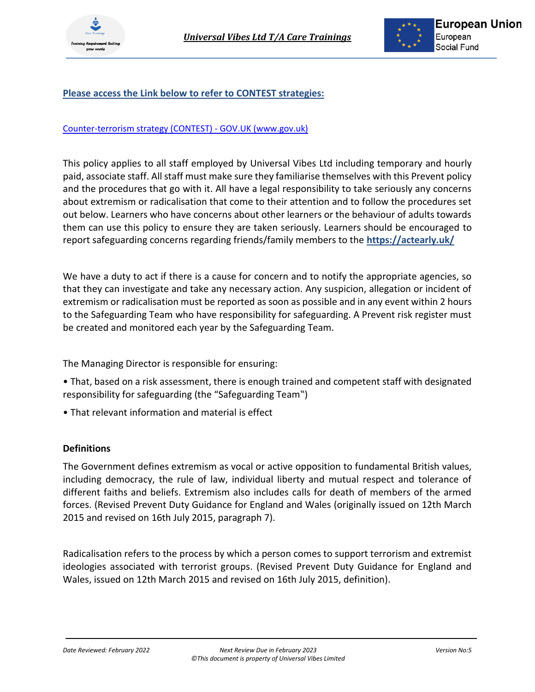

# **Please access the Link below to refer to CONTEST strategies:**

#### [Counter-terrorism strategy \(CONTEST\) -](https://www.gov.uk/government/collections/contest) GOV.UK (www.gov.uk)

This policy applies to all staff employed by Universal Vibes Ltd including temporary and hourly paid, associate staff. All staff must make sure they familiarise themselves with this Prevent policy and the procedures that go with it. All have a legal responsibility to take seriously any concerns about extremism or radicalisation that come to their attention and to follow the procedures set out below. Learners who have concerns about other learners or the behaviour of adults towards them can use this policy to ensure they are taken seriously. Learners should be encouraged to report safeguarding concerns regarding friends/family members to the **https://actearly.uk/**

We have a duty to act if there is a cause for concern and to notify the appropriate agencies, so that they can investigate and take any necessary action. Any suspicion, allegation or incident of extremism or radicalisation must be reported as soon as possible and in any event within 2 hours to the Safeguarding Team who have responsibility for safeguarding. A Prevent risk register must be created and monitored each year by the Safeguarding Team.

The Managing Director is responsible for ensuring:

- That, based on a risk assessment, there is enough trained and competent staff with designated responsibility for safeguarding (the "Safeguarding Team")
- That relevant information and material is effect

## **Definitions**

The Government defines extremism as vocal or active opposition to fundamental British values, including democracy, the rule of law, individual liberty and mutual respect and tolerance of different faiths and beliefs. Extremism also includes calls for death of members of the armed forces. (Revised Prevent Duty Guidance for England and Wales (originally issued on 12th March 2015 and revised on 16th July 2015, paragraph 7).

Radicalisation refers to the process by which a person comes to support terrorism and extremist ideologies associated with terrorist groups. (Revised Prevent Duty Guidance for England and Wales, issued on 12th March 2015 and revised on 16th July 2015, definition).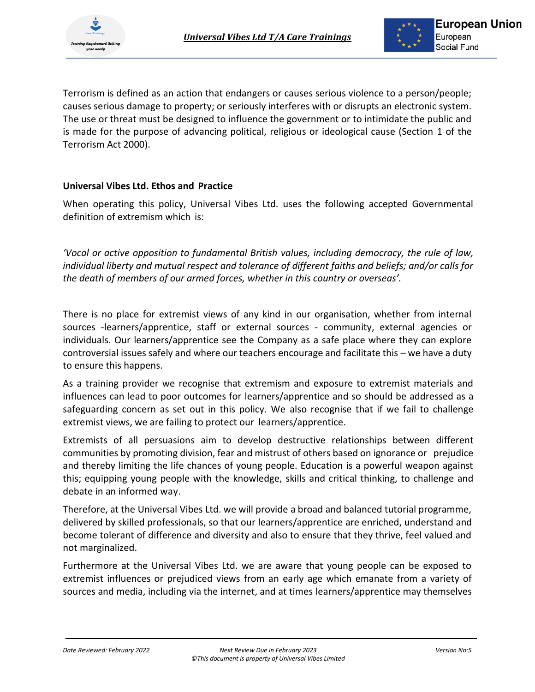

Terrorism is defined as an action that endangers or causes serious violence to a person/people; causes serious damage to property; or seriously interferes with or disrupts an electronic system. The use or threat must be designed to influence the government or to intimidate the public and is made for the purpose of advancing political, religious or ideological cause (Section 1 of the Terrorism Act 2000).

## **Universal Vibes Ltd. Ethos and Practice**

When operating this policy, Universal Vibes Ltd. uses the following accepted Governmental definition of extremism which is:

*'Vocal or active opposition to fundamental British values, including democracy, the rule of law, individual liberty and mutual respect and tolerance of different faiths and beliefs; and/or calls for the death of members of our armed forces, whether in this country or overseas'.*

There is no place for extremist views of any kind in our organisation, whether from internal sources -learners/apprentice, staff or external sources - community, external agencies or individuals. Our learners/apprentice see the Company as a safe place where they can explore controversial issues safely and where our teachers encourage and facilitate this – we have a duty to ensure this happens.

As a training provider we recognise that extremism and exposure to extremist materials and influences can lead to poor outcomes for learners/apprentice and so should be addressed as a safeguarding concern as set out in this policy. We also recognise that if we fail to challenge extremist views, we are failing to protect our learners/apprentice.

Extremists of all persuasions aim to develop destructive relationships between different communities by promoting division, fear and mistrust of others based on ignorance or prejudice and thereby limiting the life chances of young people. Education is a powerful weapon against this; equipping young people with the knowledge, skills and critical thinking, to challenge and debate in an informed way.

Therefore, at the Universal Vibes Ltd. we will provide a broad and balanced tutorial programme, delivered by skilled professionals, so that our learners/apprentice are enriched, understand and become tolerant of difference and diversity and also to ensure that they thrive, feel valued and not marginalized.

Furthermore at the Universal Vibes Ltd. we are aware that young people can be exposed to extremist influences or prejudiced views from an early age which emanate from a variety of sources and media, including via the internet, and at times learners/apprentice may themselves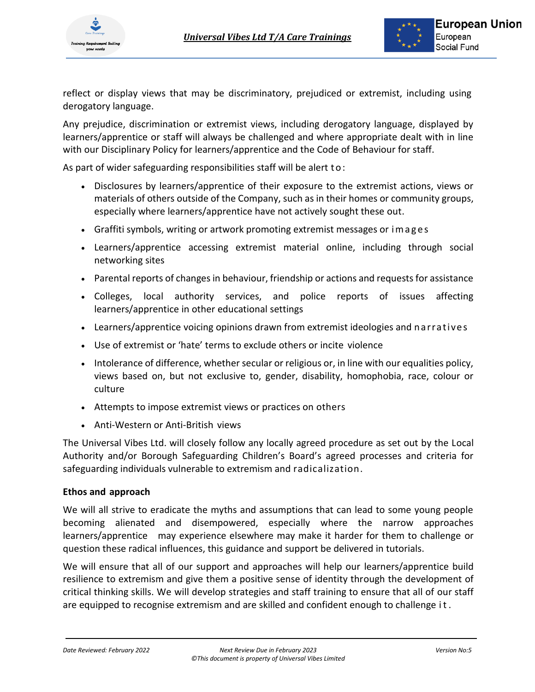

reflect or display views that may be discriminatory, prejudiced or extremist, including using derogatory language.

Any prejudice, discrimination or extremist views, including derogatory language, displayed by learners/apprentice or staff will always be challenged and where appropriate dealt with in line with our Disciplinary Policy for learners/apprentice and the Code of Behaviour for staff.

As part of wider safeguarding responsibilities staff will be alert to:

- Disclosures by learners/apprentice of their exposure to the extremist actions, views or materials of others outside of the Company, such as in their homes or community groups, especially where learners/apprentice have not actively sought these out.
- Graffiti symbols, writing or artwork promoting extremist messages or i m a g e s
- Learners/apprentice accessing extremist material online, including through social networking sites
- Parental reports of changes in behaviour, friendship or actions and requests for assistance
- Colleges, local authority services, and police reports of issues affecting learners/apprentice in other educational settings
- Learners/apprentice voicing opinions drawn from extremist ideologies and narratives
- Use of extremist or 'hate' terms to exclude others or incite violence
- Intolerance of difference, whether secular or religious or, in line with our equalities policy, views based on, but not exclusive to, gender, disability, homophobia, race, colour or culture
- Attempts to impose extremist views or practices on others
- Anti-Western or Anti-British views

The Universal Vibes Ltd. will closely follow any locally agreed procedure as set out by the Local Authority and/or Borough Safeguarding Children's Board's agreed processes and criteria for safeguarding individuals vulnerable to extremism and radicalization.

## **Ethos and approach**

We will all strive to eradicate the myths and assumptions that can lead to some young people becoming alienated and disempowered, especially where the narrow approaches learners/apprentice may experience elsewhere may make it harder for them to challenge or question these radical influences, this guidance and support be delivered in tutorials.

We will ensure that all of our support and approaches will help our learners/apprentice build resilience to extremism and give them a positive sense of identity through the development of critical thinking skills. We will develop strategies and staff training to ensure that all of our staff are equipped to recognise extremism and are skilled and confident enough to challenge i t .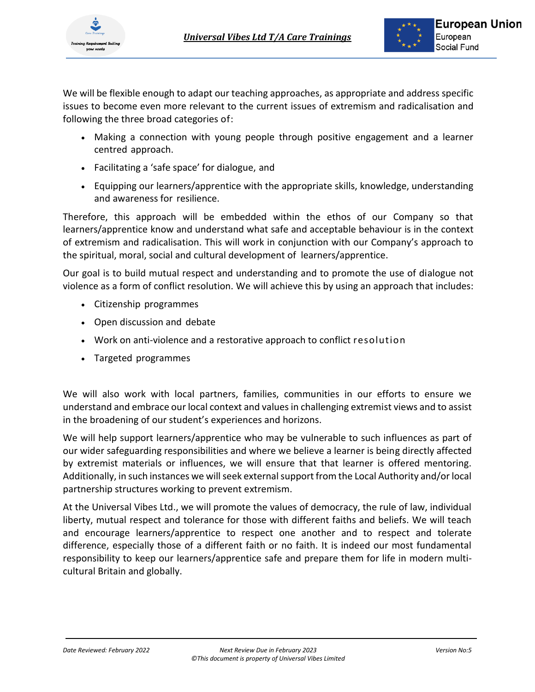



We will be flexible enough to adapt our teaching approaches, as appropriate and address specific issues to become even more relevant to the current issues of extremism and radicalisation and following the three broad categories of:

- Making a connection with young people through positive engagement and a learner centred approach.
- Facilitating a 'safe space' for dialogue, and
- Equipping our learners/apprentice with the appropriate skills, knowledge, understanding and awareness for resilience.

Therefore, this approach will be embedded within the ethos of our Company so that learners/apprentice know and understand what safe and acceptable behaviour is in the context of extremism and radicalisation. This will work in conjunction with our Company's approach to the spiritual, moral, social and cultural development of learners/apprentice.

Our goal is to build mutual respect and understanding and to promote the use of dialogue not violence as a form of conflict resolution. We will achieve this by using an approach that includes:

- Citizenship programmes
- Open discussion and debate
- Work on anti-violence and a restorative approach to conflict resolution
- Targeted programmes

We will also work with local partners, families, communities in our efforts to ensure we understand and embrace our local context and values in challenging extremist views and to assist in the broadening of our student's experiences and horizons.

We will help support learners/apprentice who may be vulnerable to such influences as part of our wider safeguarding responsibilities and where we believe a learner is being directly affected by extremist materials or influences, we will ensure that that learner is offered mentoring. Additionally, in such instances we will seek external support from the Local Authority and/or local partnership structures working to prevent extremism.

At the Universal Vibes Ltd., we will promote the values of democracy, the rule of law, individual liberty, mutual respect and tolerance for those with different faiths and beliefs. We will teach and encourage learners/apprentice to respect one another and to respect and tolerate difference, especially those of a different faith or no faith. It is indeed our most fundamental responsibility to keep our learners/apprentice safe and prepare them for life in modern multicultural Britain and globally.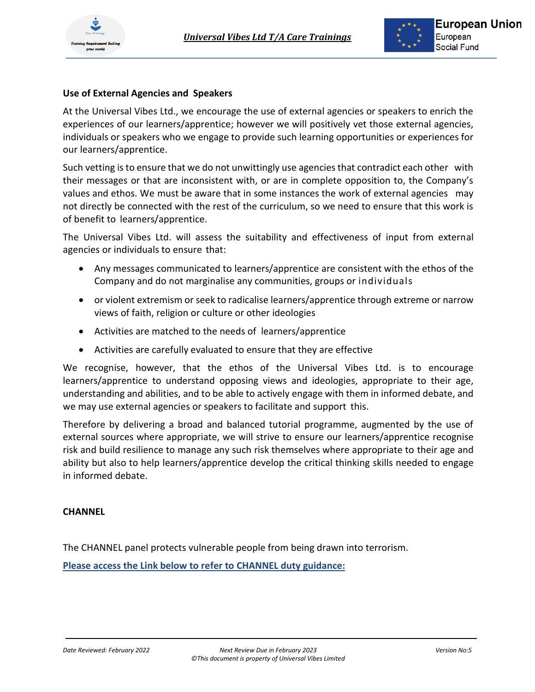

## **Use of External Agencies and Speakers**

At the Universal Vibes Ltd., we encourage the use of external agencies or speakers to enrich the experiences of our learners/apprentice; however we will positively vet those external agencies, individuals or speakers who we engage to provide such learning opportunities or experiences for our learners/apprentice.

Such vetting is to ensure that we do not unwittingly use agencies that contradict each other with their messages or that are inconsistent with, or are in complete opposition to, the Company's values and ethos. We must be aware that in some instances the work of external agencies may not directly be connected with the rest of the curriculum, so we need to ensure that this work is of benefit to learners/apprentice.

The Universal Vibes Ltd. will assess the suitability and effectiveness of input from external agencies or individuals to ensure that:

- Any messages communicated to learners/apprentice are consistent with the ethos of the Company and do not marginalise any communities, groups or individuals
- or violent extremism or seek to radicalise learners/apprentice through extreme or narrow views of faith, religion or culture or other ideologies
- Activities are matched to the needs of learners/apprentice
- Activities are carefully evaluated to ensure that they are effective

We recognise, however, that the ethos of the Universal Vibes Ltd. is to encourage learners/apprentice to understand opposing views and ideologies, appropriate to their age, understanding and abilities, and to be able to actively engage with them in informed debate, and we may use external agencies or speakers to facilitate and support this.

Therefore by delivering a broad and balanced tutorial programme, augmented by the use of external sources where appropriate, we will strive to ensure our learners/apprentice recognise risk and build resilience to manage any such risk themselves where appropriate to their age and ability but also to help learners/apprentice develop the critical thinking skills needed to engage in informed debate.

## **CHANNEL**

The CHANNEL panel protects vulnerable people from being drawn into terrorism.

**Please access the Link below to refer to CHANNEL duty guidance:**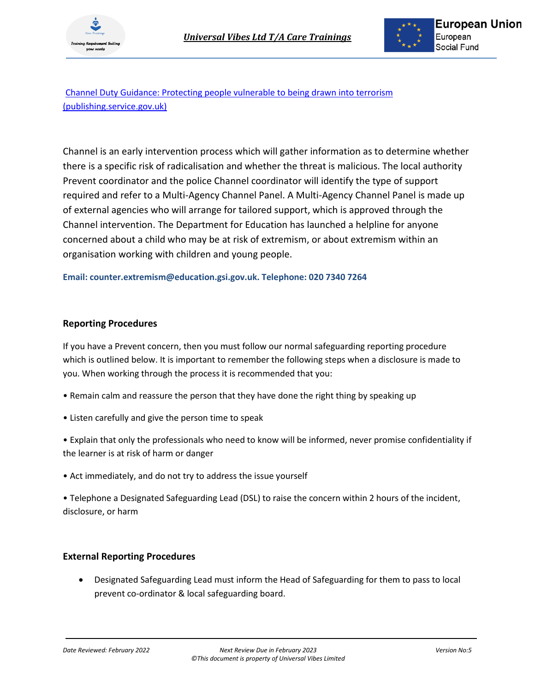



[Channel Duty Guidance: Protecting people vulnerable to being drawn into terrorism](https://assets.publishing.service.gov.uk/government/uploads/system/uploads/attachment_data/file/964567/6.6271_HO_HMG_Channel_Duty_Guidance_v14_Web.pdf)  [\(publishing.service.gov.uk\)](https://assets.publishing.service.gov.uk/government/uploads/system/uploads/attachment_data/file/964567/6.6271_HO_HMG_Channel_Duty_Guidance_v14_Web.pdf)

Channel is an early intervention process which will gather information as to determine whether there is a specific risk of radicalisation and whether the threat is malicious. The local authority Prevent coordinator and the police Channel coordinator will identify the type of support required and refer to a Multi-Agency Channel Panel. A Multi-Agency Channel Panel is made up of external agencies who will arrange for tailored support, which is approved through the Channel intervention. The Department for Education has launched a helpline for anyone concerned about a child who may be at risk of extremism, or about extremism within an organisation working with children and young people.

#### **Email: counter.extremism@education.gsi.gov.uk. Telephone: 020 7340 7264**

#### **Reporting Procedures**

If you have a Prevent concern, then you must follow our normal safeguarding reporting procedure which is outlined below. It is important to remember the following steps when a disclosure is made to you. When working through the process it is recommended that you:

- Remain calm and reassure the person that they have done the right thing by speaking up
- Listen carefully and give the person time to speak
- Explain that only the professionals who need to know will be informed, never promise confidentiality if the learner is at risk of harm or danger
- Act immediately, and do not try to address the issue yourself

• Telephone a Designated Safeguarding Lead (DSL) to raise the concern within 2 hours of the incident, disclosure, or harm

## **External Reporting Procedures**

• Designated Safeguarding Lead must inform the Head of Safeguarding for them to pass to local prevent co-ordinator & local safeguarding board.